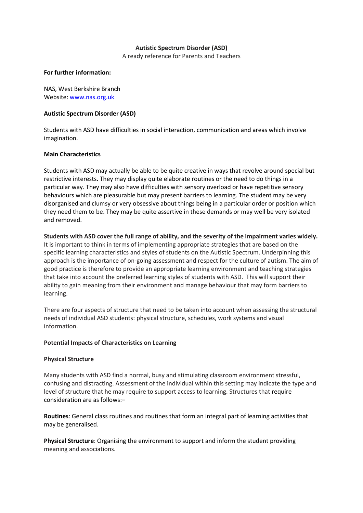# **Autistic Spectrum Disorder (ASD)**

A ready reference for Parents and Teachers

## **For further information:**

NAS, West Berkshire Branch Website: www.nas.org.uk

# **Autistic Spectrum Disorder (ASD)**

Students with ASD have difficulties in social interaction, communication and areas which involve imagination.

## **Main Characteristics**

Students with ASD may actually be able to be quite creative in ways that revolve around special but restrictive interests. They may display quite elaborate routines or the need to do things in a particular way. They may also have difficulties with sensory overload or have repetitive sensory behaviours which are pleasurable but may present barriers to learning. The student may be very disorganised and clumsy or very obsessive about things being in a particular order or position which they need them to be. They may be quite assertive in these demands or may well be very isolated and removed.

**Students with ASD cover the full range of ability, and the severity of the impairment varies widely.** It is important to think in terms of implementing appropriate strategies that are based on the specific learning characteristics and styles of students on the Autistic Spectrum. Underpinning this approach is the importance of on-going assessment and respect for the culture of autism. The aim of good practice is therefore to provide an appropriate learning environment and teaching strategies that take into account the preferred learning styles of students with ASD. This will support their ability to gain meaning from their environment and manage behaviour that may form barriers to learning.

There are four aspects of structure that need to be taken into account when assessing the structural needs of individual ASD students: physical structure, schedules, work systems and visual information.

#### **Potential Impacts of Characteristics on Learning**

# **Physical Structure**

Many students with ASD find a normal, busy and stimulating classroom environment stressful, confusing and distracting. Assessment of the individual within this setting may indicate the type and level of structure that he may require to support access to learning. Structures that require consideration are as follows:–

**Routines**: General class routines and routines that form an integral part of learning activities that may be generalised.

**Physical Structure**: Organising the environment to support and inform the student providing meaning and associations.